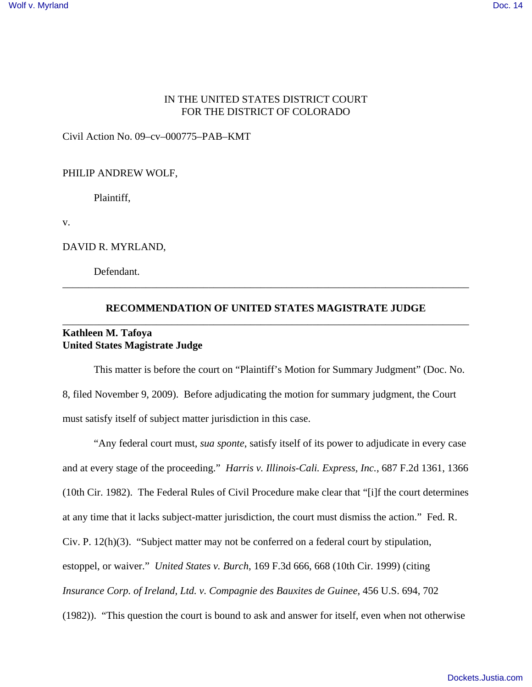## IN THE UNITED STATES DISTRICT COURT FOR THE DISTRICT OF COLORADO

Civil Action No. 09–cv–000775–PAB–KMT

#### PHILIP ANDREW WOLF,

Plaintiff,

v.

DAVID R. MYRLAND,

Defendant.

# **RECOMMENDATION OF UNITED STATES MAGISTRATE JUDGE** \_\_\_\_\_\_\_\_\_\_\_\_\_\_\_\_\_\_\_\_\_\_\_\_\_\_\_\_\_\_\_\_\_\_\_\_\_\_\_\_\_\_\_\_\_\_\_\_\_\_\_\_\_\_\_\_\_\_\_\_\_\_\_\_\_\_\_\_\_\_\_\_\_\_\_\_\_\_

\_\_\_\_\_\_\_\_\_\_\_\_\_\_\_\_\_\_\_\_\_\_\_\_\_\_\_\_\_\_\_\_\_\_\_\_\_\_\_\_\_\_\_\_\_\_\_\_\_\_\_\_\_\_\_\_\_\_\_\_\_\_\_\_\_\_\_\_\_\_\_\_\_\_\_\_\_\_

## **Kathleen M. Tafoya United States Magistrate Judge**

This matter is before the court on "Plaintiff's Motion for Summary Judgment" (Doc. No. 8, filed November 9, 2009). Before adjudicating the motion for summary judgment, the Court must satisfy itself of subject matter jurisdiction in this case.

"Any federal court must, *sua sponte*, satisfy itself of its power to adjudicate in every case and at every stage of the proceeding." *Harris v. Illinois-Cali. Express, Inc.*, 687 F.2d 1361, 1366 (10th Cir. 1982). The Federal Rules of Civil Procedure make clear that "[i]f the court determines at any time that it lacks subject-matter jurisdiction, the court must dismiss the action." Fed. R. Civ. P. 12(h)(3). "Subject matter may not be conferred on a federal court by stipulation, estoppel, or waiver." *United States v. Burch*, 169 F.3d 666, 668 (10th Cir. 1999) (citing *Insurance Corp. of Ireland, Ltd. v. Compagnie des Bauxites de Guinee*, 456 U.S. 694, 702 (1982)). "This question the court is bound to ask and answer for itself, even when not otherwise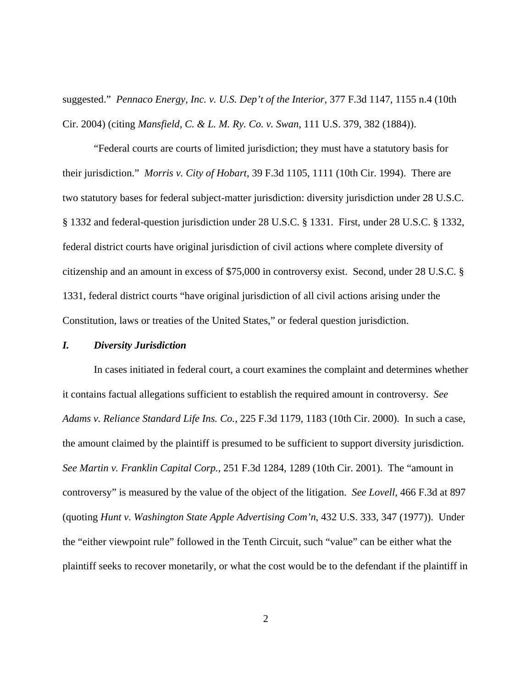suggested." *Pennaco Energy, Inc. v. U.S. Dep't of the Interior*, 377 F.3d 1147, 1155 n.4 (10th Cir. 2004) (citing *Mansfield, C. & L. M. Ry. Co. v. Swan*, 111 U.S. 379, 382 (1884)).

"Federal courts are courts of limited jurisdiction; they must have a statutory basis for their jurisdiction." *Morris v. City of Hobart*, 39 F.3d 1105, 1111 (10th Cir. 1994). There are two statutory bases for federal subject-matter jurisdiction: diversity jurisdiction under 28 U.S.C. § 1332 and federal-question jurisdiction under 28 U.S.C. § 1331. First, under 28 U.S.C. § 1332, federal district courts have original jurisdiction of civil actions where complete diversity of citizenship and an amount in excess of \$75,000 in controversy exist. Second, under 28 U.S.C. § 1331, federal district courts "have original jurisdiction of all civil actions arising under the Constitution, laws or treaties of the United States," or federal question jurisdiction.

## *I. Diversity Jurisdiction*

In cases initiated in federal court, a court examines the complaint and determines whether it contains factual allegations sufficient to establish the required amount in controversy. *See Adams v. Reliance Standard Life Ins. Co.*, 225 F.3d 1179, 1183 (10th Cir. 2000). In such a case, the amount claimed by the plaintiff is presumed to be sufficient to support diversity jurisdiction. *See Martin v. Franklin Capital Corp.*, 251 F.3d 1284, 1289 (10th Cir. 2001). The "amount in controversy" is measured by the value of the object of the litigation. *See Lovell*, 466 F.3d at 897 (quoting *Hunt v. Washington State Apple Advertising Com'n*, 432 U.S. 333, 347 (1977)). Under the "either viewpoint rule" followed in the Tenth Circuit, such "value" can be either what the plaintiff seeks to recover monetarily, or what the cost would be to the defendant if the plaintiff in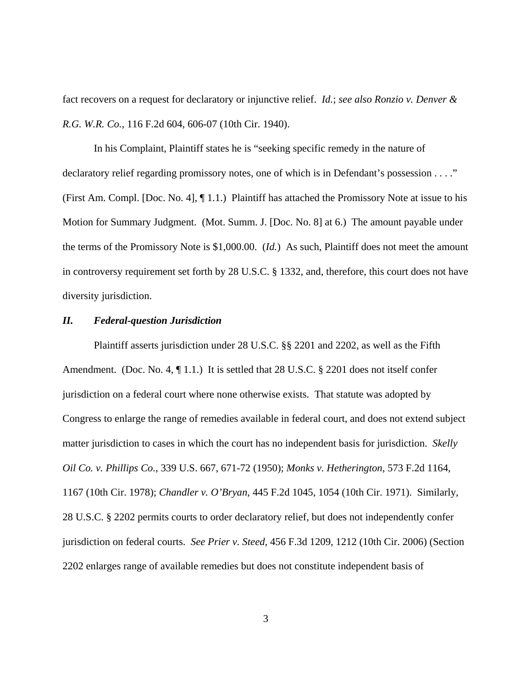fact recovers on a request for declaratory or injunctive relief. *Id.*; *see also Ronzio v. Denver & R.G. W.R. Co.*, 116 F.2d 604, 606-07 (10th Cir. 1940).

In his Complaint, Plaintiff states he is "seeking specific remedy in the nature of declaratory relief regarding promissory notes, one of which is in Defendant's possession . . . ." (First Am. Compl. [Doc. No. 4], ¶ 1.1.) Plaintiff has attached the Promissory Note at issue to his Motion for Summary Judgment. (Mot. Summ. J. [Doc. No. 8] at 6.) The amount payable under the terms of the Promissory Note is \$1,000.00. (*Id.*) As such, Plaintiff does not meet the amount in controversy requirement set forth by 28 U.S.C. § 1332, and, therefore, this court does not have diversity jurisdiction.

### *II. Federal-question Jurisdiction*

Plaintiff asserts jurisdiction under 28 U.S.C. §§ 2201 and 2202, as well as the Fifth Amendment. (Doc. No. 4,  $\P$  1.1.) It is settled that 28 U.S.C. § 2201 does not itself confer jurisdiction on a federal court where none otherwise exists. That statute was adopted by Congress to enlarge the range of remedies available in federal court, and does not extend subject matter jurisdiction to cases in which the court has no independent basis for jurisdiction. *Skelly Oil Co. v. Phillips Co.*, 339 U.S. 667, 671-72 (1950); *Monks v. Hetherington*, 573 F.2d 1164, 1167 (10th Cir. 1978); *Chandler v. O'Bryan*, 445 F.2d 1045, 1054 (10th Cir. 1971). Similarly, 28 U.S.C. § 2202 permits courts to order declaratory relief, but does not independently confer jurisdiction on federal courts. *See Prier v. Steed*, 456 F.3d 1209, 1212 (10th Cir. 2006) (Section 2202 enlarges range of available remedies but does not constitute independent basis of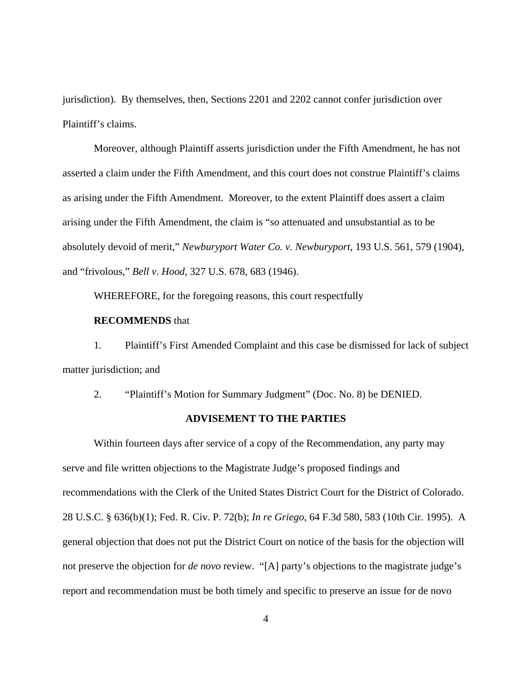jurisdiction). By themselves, then, Sections 2201 and 2202 cannot confer jurisdiction over Plaintiff's claims.

Moreover, although Plaintiff asserts jurisdiction under the Fifth Amendment, he has not asserted a claim under the Fifth Amendment, and this court does not construe Plaintiff's claims as arising under the Fifth Amendment. Moreover, to the extent Plaintiff does assert a claim arising under the Fifth Amendment, the claim is "so attenuated and unsubstantial as to be absolutely devoid of merit," *Newburyport Water Co. v. Newburyport*, 193 U.S. 561, 579 (1904), and "frivolous," *Bell v. Hood*, 327 U.S. 678, 683 (1946).

WHEREFORE, for the foregoing reasons, this court respectfully

## **RECOMMENDS** that

1. Plaintiff's First Amended Complaint and this case be dismissed for lack of subject matter jurisdiction; and

2. "Plaintiff's Motion for Summary Judgment" (Doc. No. 8) be DENIED.

### **ADVISEMENT TO THE PARTIES**

Within fourteen days after service of a copy of the Recommendation, any party may serve and file written objections to the Magistrate Judge's proposed findings and recommendations with the Clerk of the United States District Court for the District of Colorado. 28 U.S.C. § 636(b)(1); Fed. R. Civ. P. 72(b); *In re Griego*, 64 F.3d 580, 583 (10th Cir. 1995). A general objection that does not put the District Court on notice of the basis for the objection will not preserve the objection for *de novo* review. "[A] party's objections to the magistrate judge's report and recommendation must be both timely and specific to preserve an issue for de novo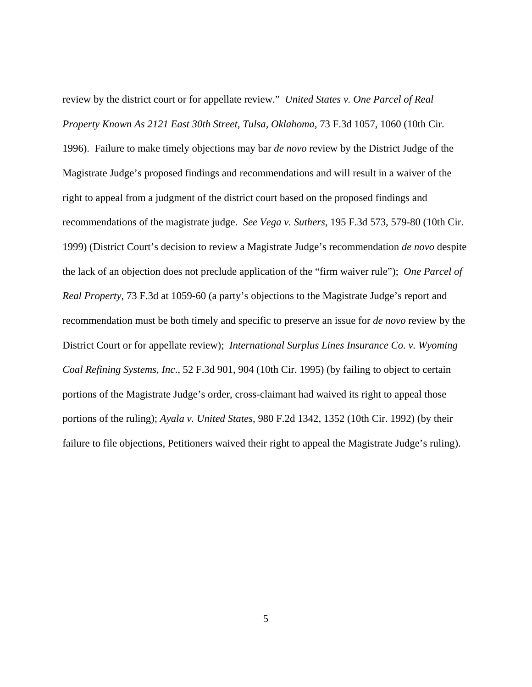review by the district court or for appellate review." *United States v. One Parcel of Real Property Known As 2121 East 30th Street, Tulsa, Oklahoma*, 73 F.3d 1057, 1060 (10th Cir. 1996). Failure to make timely objections may bar *de novo* review by the District Judge of the Magistrate Judge's proposed findings and recommendations and will result in a waiver of the right to appeal from a judgment of the district court based on the proposed findings and recommendations of the magistrate judge. *See Vega v. Suthers*, 195 F.3d 573, 579-80 (10th Cir. 1999) (District Court's decision to review a Magistrate Judge's recommendation *de novo* despite the lack of an objection does not preclude application of the "firm waiver rule"); *One Parcel of Real Property*, 73 F.3d at 1059-60 (a party's objections to the Magistrate Judge's report and recommendation must be both timely and specific to preserve an issue for *de novo* review by the District Court or for appellate review); *International Surplus Lines Insurance Co. v. Wyoming Coal Refining Systems, Inc*., 52 F.3d 901, 904 (10th Cir. 1995) (by failing to object to certain portions of the Magistrate Judge's order, cross-claimant had waived its right to appeal those portions of the ruling); *Ayala v. United States*, 980 F.2d 1342, 1352 (10th Cir. 1992) (by their failure to file objections, Petitioners waived their right to appeal the Magistrate Judge's ruling).